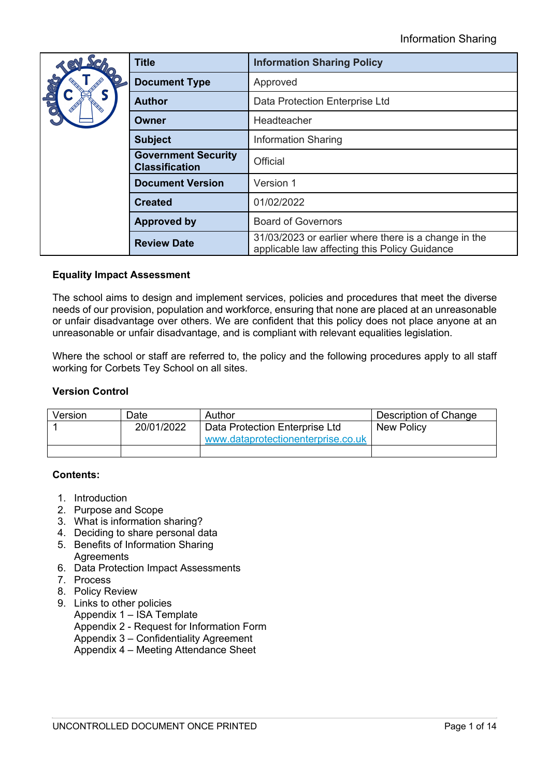| Ser<br>72                                           | <b>Title</b>            | <b>Information Sharing Policy</b>                                                                     |  |
|-----------------------------------------------------|-------------------------|-------------------------------------------------------------------------------------------------------|--|
| $\bigcirc$                                          | <b>Document Type</b>    | Approved                                                                                              |  |
| <b>PIO</b>                                          | <b>Author</b>           | Data Protection Enterprise Ltd                                                                        |  |
|                                                     | Owner                   | Headteacher                                                                                           |  |
| <b>Subject</b>                                      |                         | <b>Information Sharing</b>                                                                            |  |
| <b>Government Security</b><br><b>Classification</b> |                         | Official                                                                                              |  |
|                                                     | <b>Document Version</b> | Version 1                                                                                             |  |
|                                                     | <b>Created</b>          | 01/02/2022                                                                                            |  |
|                                                     | <b>Approved by</b>      | <b>Board of Governors</b>                                                                             |  |
|                                                     | <b>Review Date</b>      | 31/03/2023 or earlier where there is a change in the<br>applicable law affecting this Policy Guidance |  |

# **Equality Impact Assessment**

The school aims to design and implement services, policies and procedures that meet the diverse needs of our provision, population and workforce, ensuring that none are placed at an unreasonable or unfair disadvantage over others. We are confident that this policy does not place anyone at an unreasonable or unfair disadvantage, and is compliant with relevant equalities legislation.

Where the school or staff are referred to, the policy and the following procedures apply to all staff working for Corbets Tey School on all sites.

# **Version Control**

| Version | Date       | Author                                                               | Description of Change |
|---------|------------|----------------------------------------------------------------------|-----------------------|
|         | 20/01/2022 | Data Protection Enterprise Ltd<br>www.dataprotectionenterprise.co.uk | <b>New Policy</b>     |
|         |            |                                                                      |                       |

# **Contents:**

- 1. Introduction
- 2. Purpose and Scope
- 3. What is information sharing?
- 4. Deciding to share personal data
- 5. Benefits of Information Sharing **Agreements**
- 6. Data Protection Impact Assessments
- 7. Process
- 8. Policy Review
- 9. Links to other policies
	- Appendix 1 ISA Template
	- Appendix 2 Request for Information Form
	- Appendix 3 Confidentiality Agreement
	- Appendix 4 Meeting Attendance Sheet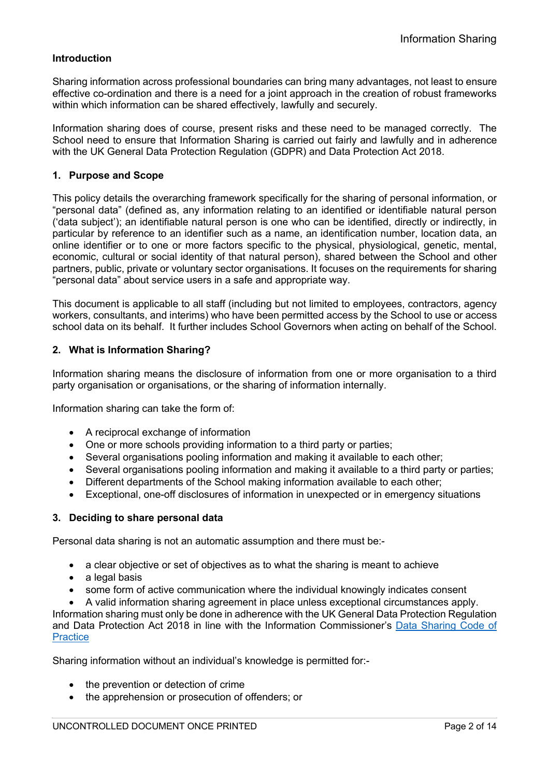# **Introduction**

Sharing information across professional boundaries can bring many advantages, not least to ensure effective co-ordination and there is a need for a joint approach in the creation of robust frameworks within which information can be shared effectively, lawfully and securely.

Information sharing does of course, present risks and these need to be managed correctly. The School need to ensure that Information Sharing is carried out fairly and lawfully and in adherence with the UK General Data Protection Regulation (GDPR) and Data Protection Act 2018.

## **1. Purpose and Scope**

This policy details the overarching framework specifically for the sharing of personal information, or "personal data" (defined as, any information relating to an identified or identifiable natural person ('data subject'); an identifiable natural person is one who can be identified, directly or indirectly, in particular by reference to an identifier such as a name, an identification number, location data, an online identifier or to one or more factors specific to the physical, physiological, genetic, mental, economic, cultural or social identity of that natural person), shared between the School and other partners, public, private or voluntary sector organisations. It focuses on the requirements for sharing "personal data" about service users in a safe and appropriate way.

This document is applicable to all staff (including but not limited to employees, contractors, agency workers, consultants, and interims) who have been permitted access by the School to use or access school data on its behalf. It further includes School Governors when acting on behalf of the School.

# **2. What is Information Sharing?**

Information sharing means the disclosure of information from one or more organisation to a third party organisation or organisations, or the sharing of information internally.

Information sharing can take the form of:

- A reciprocal exchange of information
- One or more schools providing information to a third party or parties;
- Several organisations pooling information and making it available to each other;
- Several organisations pooling information and making it available to a third party or parties;
- Different departments of the School making information available to each other;
- Exceptional, one-off disclosures of information in unexpected or in emergency situations

#### **3. Deciding to share personal data**

Personal data sharing is not an automatic assumption and there must be:-

- a clear objective or set of objectives as to what the sharing is meant to achieve
- a legal basis
- some form of active communication where the individual knowingly indicates consent

• A valid information sharing agreement in place unless exceptional circumstances apply. Information sharing must only be done in adherence with the UK General Data Protection Regulation and Data Protection Act 2018 in line with the Information Commissioner's Data Sharing Code of **Practice** 

Sharing information without an individual's knowledge is permitted for:-

- the prevention or detection of crime
- the apprehension or prosecution of offenders; or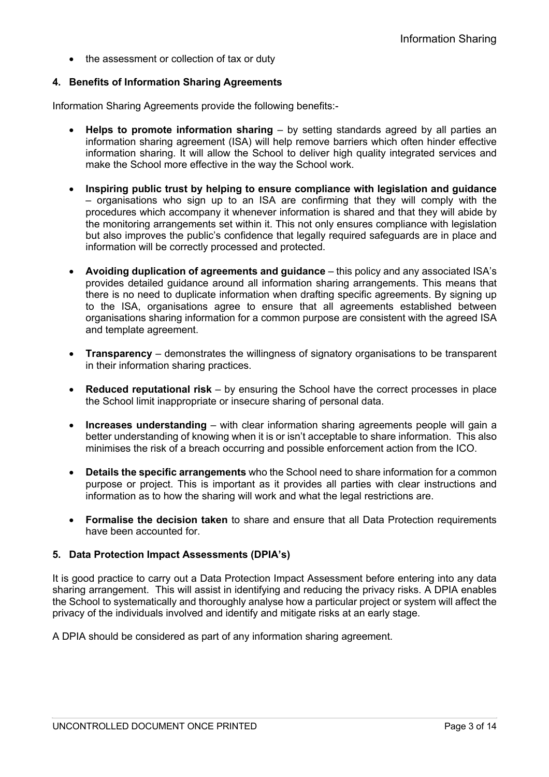• the assessment or collection of tax or duty

# **4. Benefits of Information Sharing Agreements**

Information Sharing Agreements provide the following benefits:-

- **Helps to promote information sharing** by setting standards agreed by all parties an information sharing agreement (ISA) will help remove barriers which often hinder effective information sharing. It will allow the School to deliver high quality integrated services and make the School more effective in the way the School work.
- **Inspiring public trust by helping to ensure compliance with legislation and guidance**  – organisations who sign up to an ISA are confirming that they will comply with the procedures which accompany it whenever information is shared and that they will abide by the monitoring arrangements set within it. This not only ensures compliance with legislation but also improves the public's confidence that legally required safeguards are in place and information will be correctly processed and protected.
- **Avoiding duplication of agreements and guidance**  this policy and any associated ISA's provides detailed guidance around all information sharing arrangements. This means that there is no need to duplicate information when drafting specific agreements. By signing up to the ISA, organisations agree to ensure that all agreements established between organisations sharing information for a common purpose are consistent with the agreed ISA and template agreement.
- **Transparency**  demonstrates the willingness of signatory organisations to be transparent in their information sharing practices.
- **Reduced reputational risk**  by ensuring the School have the correct processes in place the School limit inappropriate or insecure sharing of personal data.
- Increases understanding with clear information sharing agreements people will gain a better understanding of knowing when it is or isn't acceptable to share information. This also minimises the risk of a breach occurring and possible enforcement action from the ICO.
- **Details the specific arrangements** who the School need to share information for a common purpose or project. This is important as it provides all parties with clear instructions and information as to how the sharing will work and what the legal restrictions are.
- **Formalise the decision taken** to share and ensure that all Data Protection requirements have been accounted for.

# **5. Data Protection Impact Assessments (DPIA's)**

It is good practice to carry out a Data Protection Impact Assessment before entering into any data sharing arrangement. This will assist in identifying and reducing the privacy risks. A DPIA enables the School to systematically and thoroughly analyse how a particular project or system will affect the privacy of the individuals involved and identify and mitigate risks at an early stage.

A DPIA should be considered as part of any information sharing agreement.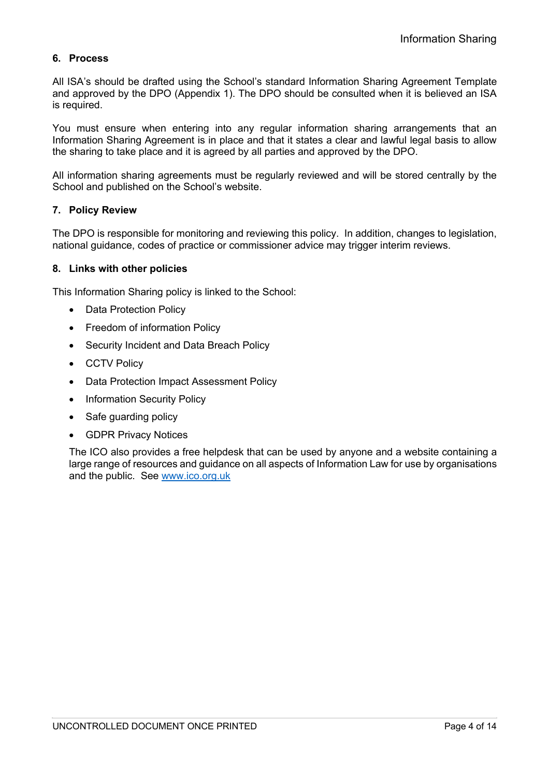# **6. Process**

All ISA's should be drafted using the School's standard Information Sharing Agreement Template and approved by the DPO (Appendix 1). The DPO should be consulted when it is believed an ISA is required.

You must ensure when entering into any regular information sharing arrangements that an Information Sharing Agreement is in place and that it states a clear and lawful legal basis to allow the sharing to take place and it is agreed by all parties and approved by the DPO.

All information sharing agreements must be regularly reviewed and will be stored centrally by the School and published on the School's website.

## **7. Policy Review**

The DPO is responsible for monitoring and reviewing this policy. In addition, changes to legislation, national guidance, codes of practice or commissioner advice may trigger interim reviews.

## **8. Links with other policies**

This Information Sharing policy is linked to the School:

- Data Protection Policy
- Freedom of information Policy
- Security Incident and Data Breach Policy
- CCTV Policy
- Data Protection Impact Assessment Policy
- Information Security Policy
- Safe quarding policy
- GDPR Privacy Notices

The ICO also provides a free helpdesk that can be used by anyone and a website containing a large range of resources and guidance on all aspects of Information Law for use by organisations and the public. See www.ico.org.uk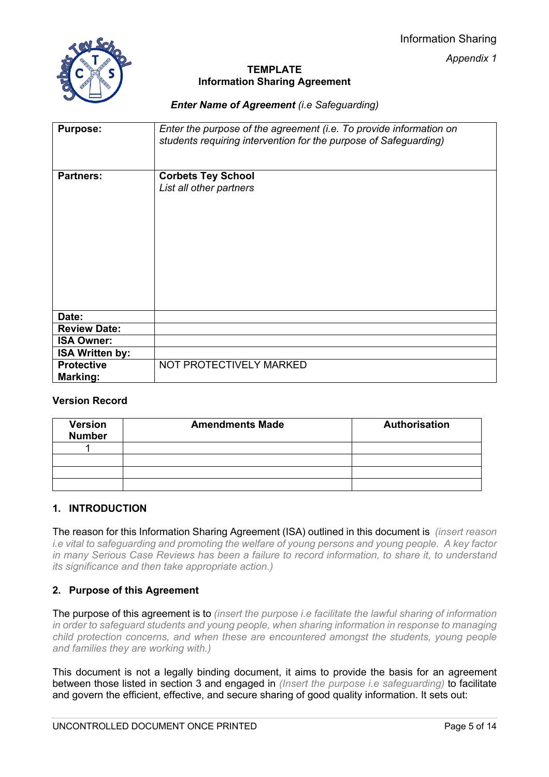Information Sharing

*Appendix 1*



# **TEMPLATE Information Sharing Agreement**

*Enter Name of Agreement (i.e Safeguarding)*

| <b>Purpose:</b>        | Enter the purpose of the agreement (i.e. To provide information on<br>students requiring intervention for the purpose of Safeguarding) |
|------------------------|----------------------------------------------------------------------------------------------------------------------------------------|
| <b>Partners:</b>       | <b>Corbets Tey School</b>                                                                                                              |
|                        | List all other partners                                                                                                                |
|                        |                                                                                                                                        |
| Date:                  |                                                                                                                                        |
| <b>Review Date:</b>    |                                                                                                                                        |
| <b>ISA Owner:</b>      |                                                                                                                                        |
| <b>ISA Written by:</b> |                                                                                                                                        |
| <b>Protective</b>      | NOT PROTECTIVELY MARKED                                                                                                                |
| Marking:               |                                                                                                                                        |

# **Version Record**

| <b>Version</b><br><b>Number</b> | <b>Amendments Made</b> | <b>Authorisation</b> |
|---------------------------------|------------------------|----------------------|
|                                 |                        |                      |
|                                 |                        |                      |
|                                 |                        |                      |
|                                 |                        |                      |

# **1. INTRODUCTION**

The reason for this Information Sharing Agreement (ISA) outlined in this document is *(insert reason i.e vital to safeguarding and promoting the welfare of young persons and young people. A key factor in many Serious Case Reviews has been a failure to record information, to share it, to understand its significance and then take appropriate action.)*

# **2. Purpose of this Agreement**

The purpose of this agreement is to *(insert the purpose i.e facilitate the lawful sharing of information in order to safeguard students and young people, when sharing information in response to managing child protection concerns, and when these are encountered amongst the students, young people and families they are working with.)*

This document is not a legally binding document, it aims to provide the basis for an agreement between those listed in section 3 and engaged in *(Insert the purpose i.e safeguarding)* to facilitate and govern the efficient, effective, and secure sharing of good quality information. It sets out: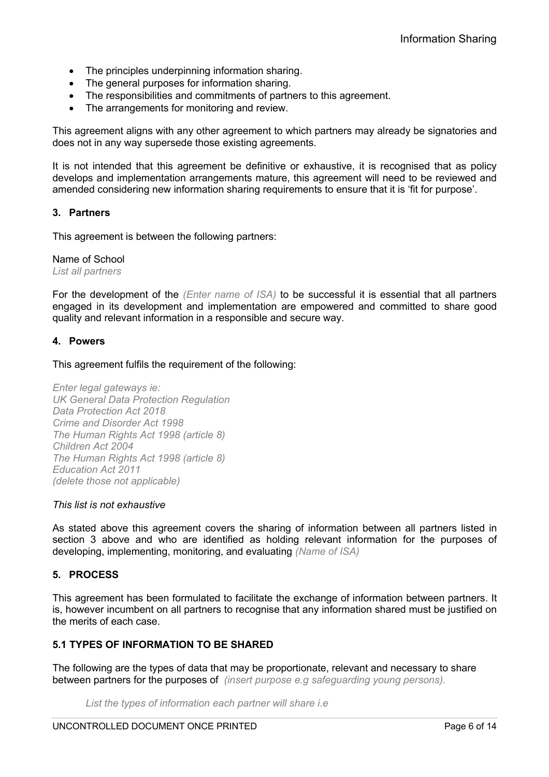- The principles underpinning information sharing.
- The general purposes for information sharing.
- The responsibilities and commitments of partners to this agreement.
- The arrangements for monitoring and review.

This agreement aligns with any other agreement to which partners may already be signatories and does not in any way supersede those existing agreements.

It is not intended that this agreement be definitive or exhaustive, it is recognised that as policy develops and implementation arrangements mature, this agreement will need to be reviewed and amended considering new information sharing requirements to ensure that it is 'fit for purpose'.

# **3. Partners**

This agreement is between the following partners:

#### Name of School

*List all partners* 

For the development of the *(Enter name of ISA)* to be successful it is essential that all partners engaged in its development and implementation are empowered and committed to share good quality and relevant information in a responsible and secure way.

## **4. Powers**

This agreement fulfils the requirement of the following:

*Enter legal gateways ie: UK General Data Protection Regulation Data Protection Act 2018 Crime and Disorder Act 1998 The Human Rights Act 1998 (article 8) Children Act 2004 The Human Rights Act 1998 (article 8) Education Act 2011 (delete those not applicable)*

#### *This list is not exhaustive*

As stated above this agreement covers the sharing of information between all partners listed in section 3 above and who are identified as holding relevant information for the purposes of developing, implementing, monitoring, and evaluating *(Name of ISA)*

# **5. PROCESS**

This agreement has been formulated to facilitate the exchange of information between partners. It is, however incumbent on all partners to recognise that any information shared must be justified on the merits of each case.

# **5.1 TYPES OF INFORMATION TO BE SHARED**

The following are the types of data that may be proportionate, relevant and necessary to share between partners for the purposes of *(insert purpose e.g safeguarding young persons).*

*List the types of information each partner will share i.e*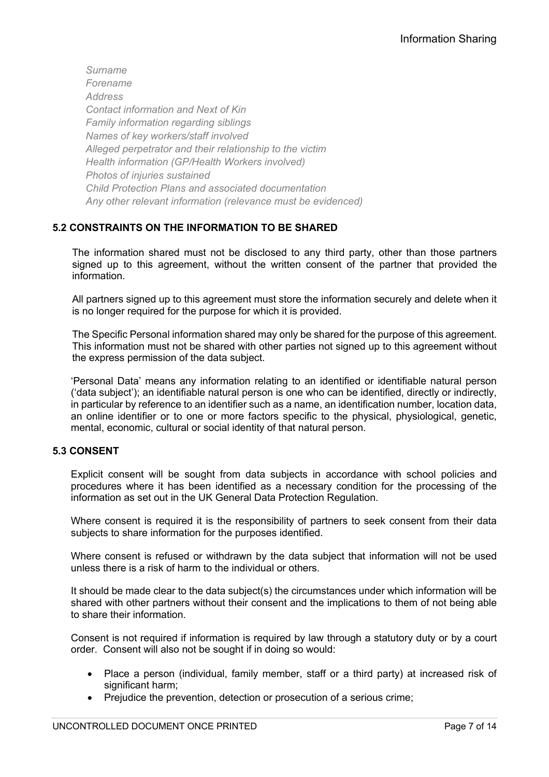*Surname Forename Address Contact information and Next of Kin Family information regarding siblings Names of key workers/staff involved Alleged perpetrator and their relationship to the victim Health information (GP/Health Workers involved) Photos of injuries sustained Child Protection Plans and associated documentation Any other relevant information (relevance must be evidenced)*

# **5.2 CONSTRAINTS ON THE INFORMATION TO BE SHARED**

The information shared must not be disclosed to any third party, other than those partners signed up to this agreement, without the written consent of the partner that provided the information.

All partners signed up to this agreement must store the information securely and delete when it is no longer required for the purpose for which it is provided.

The Specific Personal information shared may only be shared for the purpose of this agreement. This information must not be shared with other parties not signed up to this agreement without the express permission of the data subject.

'Personal Data' means any information relating to an identified or identifiable natural person ('data subject'); an identifiable natural person is one who can be identified, directly or indirectly, in particular by reference to an identifier such as a name, an identification number, location data, an online identifier or to one or more factors specific to the physical, physiological, genetic, mental, economic, cultural or social identity of that natural person.

# **5.3 CONSENT**

Explicit consent will be sought from data subjects in accordance with school policies and procedures where it has been identified as a necessary condition for the processing of the information as set out in the UK General Data Protection Regulation.

Where consent is required it is the responsibility of partners to seek consent from their data subjects to share information for the purposes identified.

Where consent is refused or withdrawn by the data subject that information will not be used unless there is a risk of harm to the individual or others.

It should be made clear to the data subject(s) the circumstances under which information will be shared with other partners without their consent and the implications to them of not being able to share their information.

Consent is not required if information is required by law through a statutory duty or by a court order. Consent will also not be sought if in doing so would:

- Place a person (individual, family member, staff or a third party) at increased risk of significant harm:
- Prejudice the prevention, detection or prosecution of a serious crime;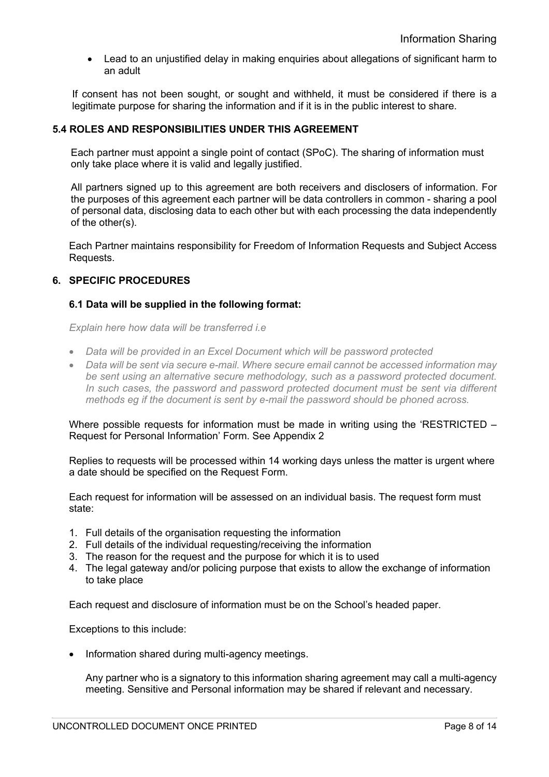• Lead to an unjustified delay in making enquiries about allegations of significant harm to an adult

If consent has not been sought, or sought and withheld, it must be considered if there is a legitimate purpose for sharing the information and if it is in the public interest to share.

## **5.4 ROLES AND RESPONSIBILITIES UNDER THIS AGREEMENT**

Each partner must appoint a single point of contact (SPoC). The sharing of information must only take place where it is valid and legally justified.

All partners signed up to this agreement are both receivers and disclosers of information. For the purposes of this agreement each partner will be data controllers in common - sharing a pool of personal data, disclosing data to each other but with each processing the data independently of the other(s).

Each Partner maintains responsibility for Freedom of Information Requests and Subject Access Requests.

## **6. SPECIFIC PROCEDURES**

## **6.1 Data will be supplied in the following format:**

*Explain here how data will be transferred i.e* 

- *Data will be provided in an Excel Document which will be password protected*
- *Data will be sent via secure e-mail. Where secure email cannot be accessed information may be sent using an alternative secure methodology, such as a password protected document. In such cases, the password and password protected document must be sent via different methods eg if the document is sent by e-mail the password should be phoned across.*

Where possible requests for information must be made in writing using the 'RESTRICTED – Request for Personal Information' Form. See Appendix 2

Replies to requests will be processed within 14 working days unless the matter is urgent where a date should be specified on the Request Form.

Each request for information will be assessed on an individual basis. The request form must state:

- 1. Full details of the organisation requesting the information
- 2. Full details of the individual requesting/receiving the information
- 3. The reason for the request and the purpose for which it is to used
- 4. The legal gateway and/or policing purpose that exists to allow the exchange of information to take place

Each request and disclosure of information must be on the School's headed paper.

Exceptions to this include:

• Information shared during multi-agency meetings.

Any partner who is a signatory to this information sharing agreement may call a multi-agency meeting. Sensitive and Personal information may be shared if relevant and necessary.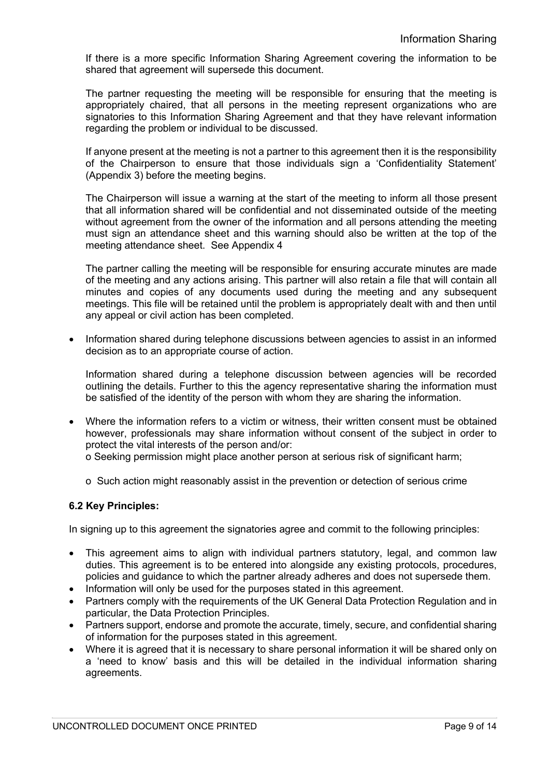If there is a more specific Information Sharing Agreement covering the information to be shared that agreement will supersede this document.

The partner requesting the meeting will be responsible for ensuring that the meeting is appropriately chaired, that all persons in the meeting represent organizations who are signatories to this Information Sharing Agreement and that they have relevant information regarding the problem or individual to be discussed.

If anyone present at the meeting is not a partner to this agreement then it is the responsibility of the Chairperson to ensure that those individuals sign a 'Confidentiality Statement' (Appendix 3) before the meeting begins.

The Chairperson will issue a warning at the start of the meeting to inform all those present that all information shared will be confidential and not disseminated outside of the meeting without agreement from the owner of the information and all persons attending the meeting must sign an attendance sheet and this warning should also be written at the top of the meeting attendance sheet. See Appendix 4

The partner calling the meeting will be responsible for ensuring accurate minutes are made of the meeting and any actions arising. This partner will also retain a file that will contain all minutes and copies of any documents used during the meeting and any subsequent meetings. This file will be retained until the problem is appropriately dealt with and then until any appeal or civil action has been completed.

• Information shared during telephone discussions between agencies to assist in an informed decision as to an appropriate course of action.

Information shared during a telephone discussion between agencies will be recorded outlining the details. Further to this the agency representative sharing the information must be satisfied of the identity of the person with whom they are sharing the information.

- Where the information refers to a victim or witness, their written consent must be obtained however, professionals may share information without consent of the subject in order to protect the vital interests of the person and/or:
	- o Seeking permission might place another person at serious risk of significant harm;
	- o Such action might reasonably assist in the prevention or detection of serious crime

# **6.2 Key Principles:**

In signing up to this agreement the signatories agree and commit to the following principles:

- This agreement aims to align with individual partners statutory, legal, and common law duties. This agreement is to be entered into alongside any existing protocols, procedures, policies and guidance to which the partner already adheres and does not supersede them.
- Information will only be used for the purposes stated in this agreement.
- Partners comply with the requirements of the UK General Data Protection Regulation and in particular, the Data Protection Principles.
- Partners support, endorse and promote the accurate, timely, secure, and confidential sharing of information for the purposes stated in this agreement.
- Where it is agreed that it is necessary to share personal information it will be shared only on a 'need to know' basis and this will be detailed in the individual information sharing agreements.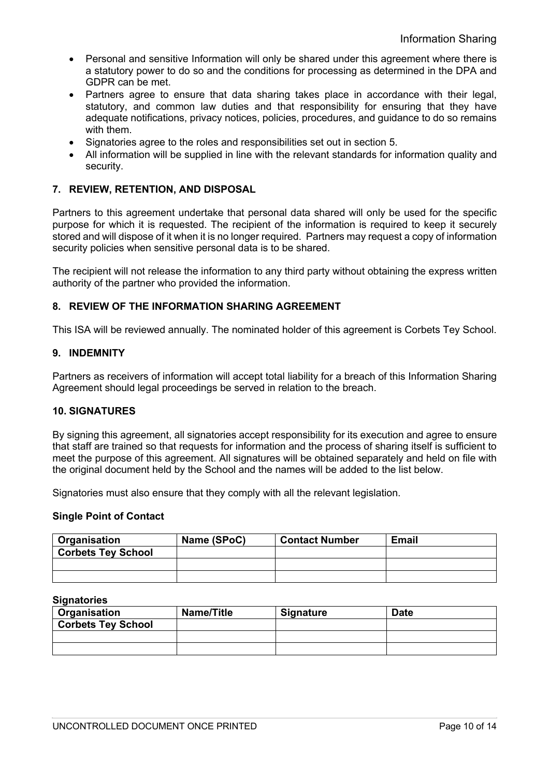- Personal and sensitive Information will only be shared under this agreement where there is a statutory power to do so and the conditions for processing as determined in the DPA and GDPR can be met.
- Partners agree to ensure that data sharing takes place in accordance with their legal, statutory, and common law duties and that responsibility for ensuring that they have adequate notifications, privacy notices, policies, procedures, and guidance to do so remains with them.
- Signatories agree to the roles and responsibilities set out in section 5.
- All information will be supplied in line with the relevant standards for information quality and security.

# **7. REVIEW, RETENTION, AND DISPOSAL**

Partners to this agreement undertake that personal data shared will only be used for the specific purpose for which it is requested. The recipient of the information is required to keep it securely stored and will dispose of it when it is no longer required. Partners may request a copy of information security policies when sensitive personal data is to be shared.

The recipient will not release the information to any third party without obtaining the express written authority of the partner who provided the information.

## **8. REVIEW OF THE INFORMATION SHARING AGREEMENT**

This ISA will be reviewed annually. The nominated holder of this agreement is Corbets Tey School.

#### **9. INDEMNITY**

Partners as receivers of information will accept total liability for a breach of this Information Sharing Agreement should legal proceedings be served in relation to the breach.

## **10. SIGNATURES**

By signing this agreement, all signatories accept responsibility for its execution and agree to ensure that staff are trained so that requests for information and the process of sharing itself is sufficient to meet the purpose of this agreement. All signatures will be obtained separately and held on file with the original document held by the School and the names will be added to the list below.

Signatories must also ensure that they comply with all the relevant legislation.

#### **Single Point of Contact**

| <b>Organisation</b>       | Name (SPoC) | <b>Contact Number</b> | <b>Email</b> |
|---------------------------|-------------|-----------------------|--------------|
| <b>Corbets Tey School</b> |             |                       |              |
|                           |             |                       |              |
|                           |             |                       |              |

#### **Signatories**

| <b>Organisation</b>       | <b>Name/Title</b> | <b>Signature</b> | Date |
|---------------------------|-------------------|------------------|------|
| <b>Corbets Tey School</b> |                   |                  |      |
|                           |                   |                  |      |
|                           |                   |                  |      |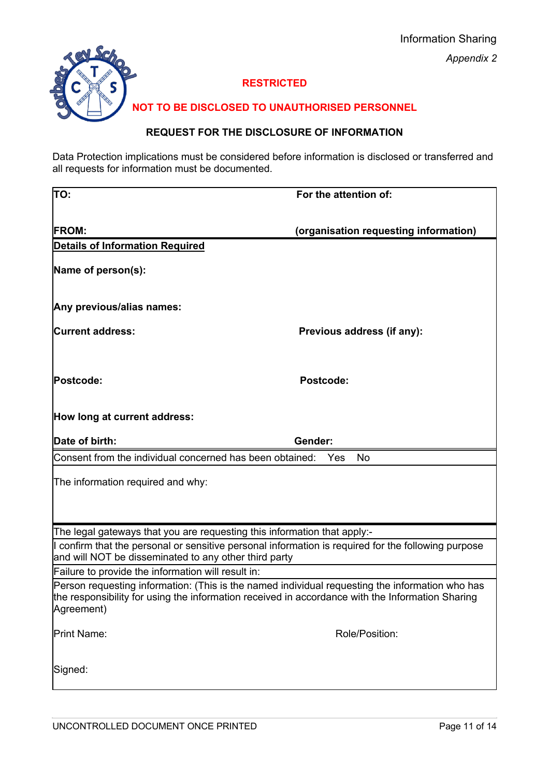

# **RESTRICTED**

# **NOT TO BE DISCLOSED TO UNAUTHORISED PERSONNEL**

# **REQUEST FOR THE DISCLOSURE OF INFORMATION**

Data Protection implications must be considered before information is disclosed or transferred and all requests for information must be documented.

| TO:                                                                                                                                                                                                               | For the attention of:                 |  |  |
|-------------------------------------------------------------------------------------------------------------------------------------------------------------------------------------------------------------------|---------------------------------------|--|--|
|                                                                                                                                                                                                                   |                                       |  |  |
| <b>FROM:</b>                                                                                                                                                                                                      | (organisation requesting information) |  |  |
| <b>Details of Information Required</b>                                                                                                                                                                            |                                       |  |  |
| Name of person(s):                                                                                                                                                                                                |                                       |  |  |
| Any previous/alias names:                                                                                                                                                                                         |                                       |  |  |
| <b>Current address:</b>                                                                                                                                                                                           | Previous address (if any):            |  |  |
| Postcode:                                                                                                                                                                                                         | <b>Postcode:</b>                      |  |  |
| How long at current address:                                                                                                                                                                                      |                                       |  |  |
| Date of birth:                                                                                                                                                                                                    | Gender:                               |  |  |
| Consent from the individual concerned has been obtained:                                                                                                                                                          | No<br>Yes                             |  |  |
| The information required and why:                                                                                                                                                                                 |                                       |  |  |
|                                                                                                                                                                                                                   |                                       |  |  |
|                                                                                                                                                                                                                   |                                       |  |  |
| The legal gateways that you are requesting this information that apply:-                                                                                                                                          |                                       |  |  |
| I confirm that the personal or sensitive personal information is required for the following purpose<br>and will NOT be disseminated to any other third party                                                      |                                       |  |  |
| Failure to provide the information will result in:                                                                                                                                                                |                                       |  |  |
| Person requesting information: (This is the named individual requesting the information who has<br>the responsibility for using the information received in accordance with the Information Sharing<br>Agreement) |                                       |  |  |
| Print Name:                                                                                                                                                                                                       | Role/Position:                        |  |  |
| Signed:                                                                                                                                                                                                           |                                       |  |  |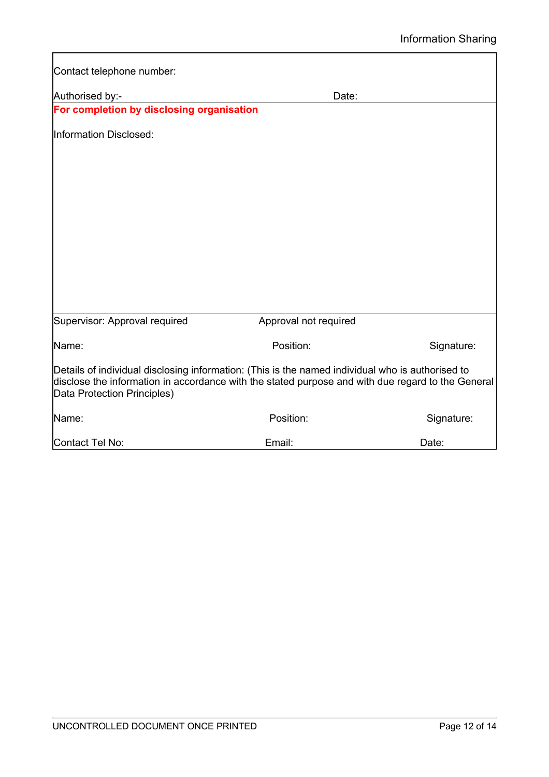| Contact telephone number:                                                                                                                                                                                                            |                       |            |
|--------------------------------------------------------------------------------------------------------------------------------------------------------------------------------------------------------------------------------------|-----------------------|------------|
| Authorised by:-                                                                                                                                                                                                                      | Date:                 |            |
| For completion by disclosing organisation                                                                                                                                                                                            |                       |            |
| Information Disclosed:                                                                                                                                                                                                               |                       |            |
|                                                                                                                                                                                                                                      |                       |            |
|                                                                                                                                                                                                                                      |                       |            |
|                                                                                                                                                                                                                                      |                       |            |
|                                                                                                                                                                                                                                      |                       |            |
|                                                                                                                                                                                                                                      |                       |            |
|                                                                                                                                                                                                                                      |                       |            |
| Supervisor: Approval required                                                                                                                                                                                                        | Approval not required |            |
| Name:                                                                                                                                                                                                                                | Position:             | Signature: |
| Details of individual disclosing information: (This is the named individual who is authorised to<br>disclose the information in accordance with the stated purpose and with due regard to the General<br>Data Protection Principles) |                       |            |
| Name:                                                                                                                                                                                                                                | Position:             | Signature: |
| Contact Tel No:                                                                                                                                                                                                                      | Email:                | Date:      |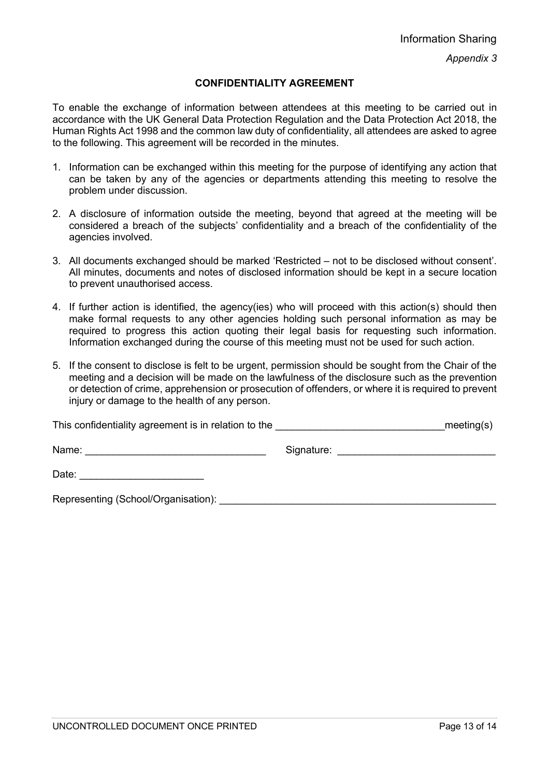*Appendix 3*

## **CONFIDENTIALITY AGREEMENT**

To enable the exchange of information between attendees at this meeting to be carried out in accordance with the UK General Data Protection Regulation and the Data Protection Act 2018, the Human Rights Act 1998 and the common law duty of confidentiality, all attendees are asked to agree to the following. This agreement will be recorded in the minutes.

- 1. Information can be exchanged within this meeting for the purpose of identifying any action that can be taken by any of the agencies or departments attending this meeting to resolve the problem under discussion.
- 2. A disclosure of information outside the meeting, beyond that agreed at the meeting will be considered a breach of the subjects' confidentiality and a breach of the confidentiality of the agencies involved.
- 3. All documents exchanged should be marked 'Restricted not to be disclosed without consent'. All minutes, documents and notes of disclosed information should be kept in a secure location to prevent unauthorised access.
- 4. If further action is identified, the agency(ies) who will proceed with this action(s) should then make formal requests to any other agencies holding such personal information as may be required to progress this action quoting their legal basis for requesting such information. Information exchanged during the course of this meeting must not be used for such action.
- 5. If the consent to disclose is felt to be urgent, permission should be sought from the Chair of the meeting and a decision will be made on the lawfulness of the disclosure such as the prevention or detection of crime, apprehension or prosecution of offenders, or where it is required to prevent injury or damage to the health of any person.

| This confidentiality agreement is in relation to the | $\_$ meeting(s) |
|------------------------------------------------------|-----------------|
|------------------------------------------------------|-----------------|

Name: et al. 2010 and 2010 and 2010 and 30 signature:  $\Box$  Signature:  $\Box$ 

Date:  $\Box$ 

Representing (School/Organisation): <br>
example the contract of the contract of the contract of the contract of the contract of the contract of the contract of the contract of the contract of the contract of the contract of